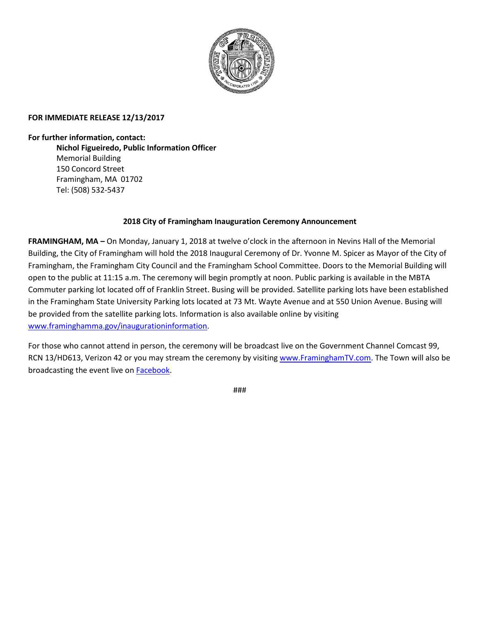

## **FOR IMMEDIATE RELEASE 12/13/2017**

**For further information, contact:**

**Nichol Figueiredo, Public Information Officer** Memorial Building 150 Concord Street Framingham, MA 01702 Tel: (508) 532-5437

## **2018 City of Framingham Inauguration Ceremony Announcement**

**FRAMINGHAM, MA –** On Monday, January 1, 2018 at twelve o'clock in the afternoon in Nevins Hall of the Memorial Building, the City of Framingham will hold the 2018 Inaugural Ceremony of Dr. Yvonne M. Spicer as Mayor of the City of Framingham, the Framingham City Council and the Framingham School Committee. Doors to the Memorial Building will open to the public at 11:15 a.m. The ceremony will begin promptly at noon. Public parking is available in the MBTA Commuter parking lot located off of Franklin Street. Busing will be provided. Satellite parking lots have been established in the Framingham State University Parking lots located at 73 Mt. Wayte Avenue and at 550 Union Avenue. Busing will be provided from the satellite parking lots. Information is also available online by visiting [www.framinghamma.gov/inaugurationinformation.](http://www.framinghamma.gov/inaugurationinformation)

For those who cannot attend in person, the ceremony will be broadcast live on the Government Channel Comcast 99, RCN 13/HD613, Verizon 42 or you may stream the ceremony by visiting [www.FraminghamTV.com.](http://www.framinghamtv.com/) The Town will also be broadcasting the event live o[n Facebook.](https://www.facebook.com/TownOfFramingham/)

###